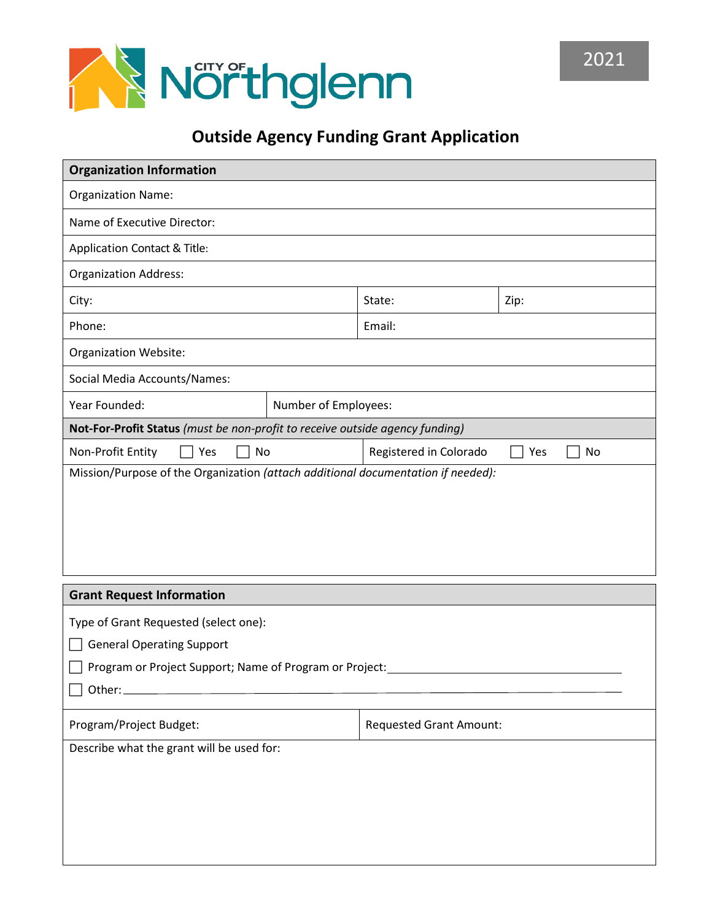

## **Outside Agency Funding Grant Application**

| <b>Organization Information</b>                                              |                      |                                |           |
|------------------------------------------------------------------------------|----------------------|--------------------------------|-----------|
| <b>Organization Name:</b>                                                    |                      |                                |           |
| Name of Executive Director:                                                  |                      |                                |           |
| Application Contact & Title:                                                 |                      |                                |           |
| <b>Organization Address:</b>                                                 |                      |                                |           |
| City:                                                                        |                      | State:                         | Zip:      |
| Phone:                                                                       |                      | Email:                         |           |
| Organization Website:                                                        |                      |                                |           |
| Social Media Accounts/Names:                                                 |                      |                                |           |
| Year Founded:                                                                | Number of Employees: |                                |           |
| Not-For-Profit Status (must be non-profit to receive outside agency funding) |                      |                                |           |
| Non-Profit Entity<br>Yes<br>No                                               |                      | Registered in Colorado         | Yes<br>No |
|                                                                              |                      |                                |           |
| <b>Grant Request Information</b>                                             |                      |                                |           |
| Type of Grant Requested (select one):                                        |                      |                                |           |
| <b>General Operating Support</b>                                             |                      |                                |           |
| Program or Project Support; Name of Program or Project:                      |                      |                                |           |
|                                                                              |                      |                                |           |
| Program/Project Budget:                                                      |                      | <b>Requested Grant Amount:</b> |           |
| Describe what the grant will be used for:                                    |                      |                                |           |
|                                                                              |                      |                                |           |
|                                                                              |                      |                                |           |
|                                                                              |                      |                                |           |
|                                                                              |                      |                                |           |